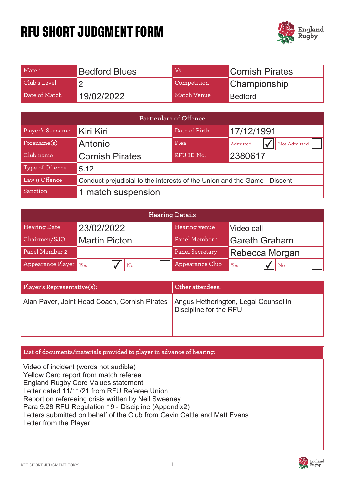## **RFU SHORT JUDGMENT FORM**



| Match         | <b>Bedford Blues</b> | Vs          | <b>Cornish Pirates</b> |
|---------------|----------------------|-------------|------------------------|
| Club's Level  |                      | Competition | Championship           |
| Date of Match | 19/02/2022           | Match Venue | <b>Bedford</b>         |

| Particulars of Offence |                                                                          |               |                          |  |
|------------------------|--------------------------------------------------------------------------|---------------|--------------------------|--|
| Player's Surname       | Kiri Kiri                                                                | Date of Birth | 17/12/1991               |  |
| Forename(s)            | Antonio                                                                  | Plea          | Not Admitted<br>Admitted |  |
| Club name              | <b>Cornish Pirates</b>                                                   | RFU ID No.    | 2380617                  |  |
| Type of Offence        | 5.12                                                                     |               |                          |  |
| Law 9 Offence          | Conduct prejudicial to the interests of the Union and the Game - Dissent |               |                          |  |
| Sanction               | 1 match suspension                                                       |               |                          |  |

| <b>Hearing Details</b> |                      |                 |                         |  |  |
|------------------------|----------------------|-----------------|-------------------------|--|--|
| <b>Hearing Date</b>    | 23/02/2022           | Hearing venue   | Video call              |  |  |
| Chairmen/SJO           | <b>Martin Picton</b> | Panel Member 1  | <b>Gareth Graham</b>    |  |  |
| Panel Member 2         |                      | Panel Secretary | <b>Rebecca Morgan</b>   |  |  |
| Appearance Player Yes  | $ $ No               | Appearance Club | $\mathsf{II}$ No<br>Yes |  |  |

| Player's Representative(s):                                                          | Other attendees:       |
|--------------------------------------------------------------------------------------|------------------------|
| Alan Paver, Joint Head Coach, Cornish Pirates   Angus Hetherington, Legal Counsel in | Discipline for the RFU |

## **List of documents/materials provided to player in advance of hearing:**

Video of incident (words not audible) Yellow Card report from match referee England Rugby Core Values statement Letter dated 11/11/21 from RFU Referee Union Report on refereeing crisis written by Neil Sweeney Para 9.28 RFU Regulation 19 - Discipline (Appendix2) Letters submitted on behalf of the Club from Gavin Cattle and Matt Evans Letter from the Player

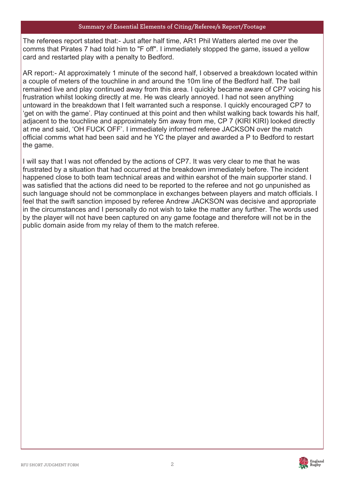The referees report stated that:- Just after half time, AR1 Phil Watters alerted me over the comms that Pirates 7 had told him to "F off". I immediately stopped the game, issued a yellow card and restarted play with a penalty to Bedford.

AR report:- At approximately 1 minute of the second half, I observed a breakdown located within a couple of meters of the touchline in and around the 10m line of the Bedford half. The ball remained live and play continued away from this area. I quickly became aware of CP7 voicing his frustration whilst looking directly at me. He was clearly annoyed. I had not seen anything untoward in the breakdown that I felt warranted such a response. I quickly encouraged CP7 to 'get on with the game'. Play continued at this point and then whilst walking back towards his half, adjacent to the touchline and approximately 5m away from me, CP 7 (KIRI KIRI) looked directly at me and said, 'OH FUCK OFF'. I immediately informed referee JACKSON over the match official comms what had been said and he YC the player and awarded a P to Bedford to restart the game.

I will say that I was not offended by the actions of CP7. It was very clear to me that he was frustrated by a situation that had occurred at the breakdown immediately before. The incident happened close to both team technical areas and within earshot of the main supporter stand. I was satisfied that the actions did need to be reported to the referee and not go unpunished as such language should not be commonplace in exchanges between players and match officials. I feel that the swift sanction imposed by referee Andrew JACKSON was decisive and appropriate in the circumstances and I personally do not wish to take the matter any further. The words used by the player will not have been captured on any game footage and therefore will not be in the public domain aside from my relay of them to the match referee.

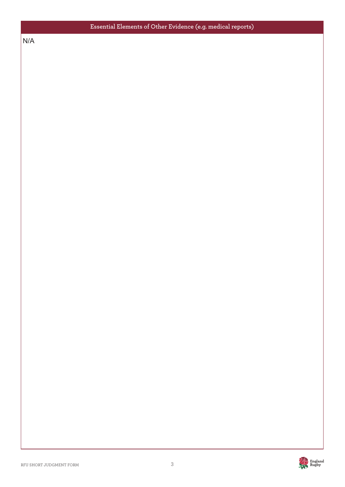$N/A$ N/A

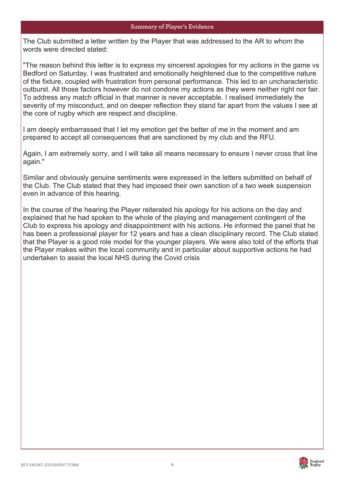The Club submitted a letter written by the Player that was addressed to the AR to whom the words were directed stated:

"The reason behind this letter is to express my sincerest apologies for my actions in the game vs Bedford on Saturday. I was frustrated and emotionally heightened due to the competitive nature of the fixture, coupled with frustration from personal performance. This led to an uncharacteristic outburst. All those factors however do not condone my actions as they were neither right nor fair. To address any match official in that manner is never acceptable. I realised immediately the severity of my misconduct, and on deeper reflection they stand far apart from the values I see at the core of rugby which are respect and discipline.

I am deeply embarrassed that I let my emotion get the better of me in the moment and am prepared to accept all consequences that are sanctioned by my club and the RFU.

Again, I am extremely sorry, and I will take all means necessary to ensure I never cross that line again."

Similar and obviously genuine sentiments were expressed in the letters submitted on behalf of the Club. The Club stated that they had imposed their own sanction of a two week suspension even in advance of this hearing.

In the course of the hearing the Player reiterated his apology for his actions on the day and explained that he had spoken to the whole of the playing and management contingent of the Club to express his apology and disappointment with his actions. He informed the panel that he has been a professional player for 12 years and has a clean disciplinary record. The Club stated that the Player is a good role model for the younger players. We were also told of the efforts that the Player makes within the local community and in particular about supportive actions he had undertaken to assist the local NHS during the Covid crisis

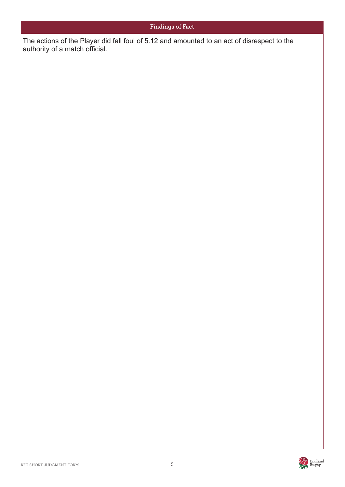The actions ا<br>Plut The actions of the Player did fall foul of 5.12 and amounted to an act of disrespect to the authority of a match official.

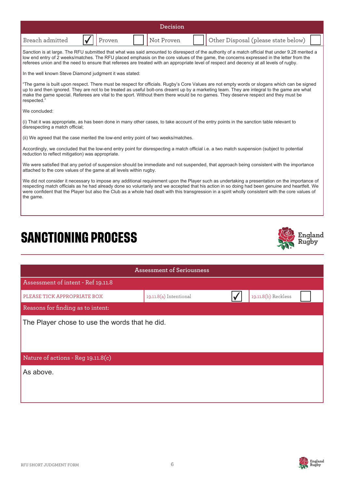|                 |            | Decision   |                                     |
|-----------------|------------|------------|-------------------------------------|
| Breach admitted | '   Proven | Not Proven | Other Disposal (please state below) |

Sanction is at large. The RFU submitted that what was said amounted to disrespect of the authority of a match official that under 9.28 merited a low end entry of 2 weeks/matches. The RFU placed emphasis on the core values of the game, the concerns expressed in the letter from the<br>In fact the game in the game of the game that of games are the tail with an amount the referees union and the need to ensure that referees are treated with an appropriate level of respect and decency at all levels of rugby.

In the well known Steve Diamond judgment it was stated:

"The game is built upon respect. There must be respect for officials. Rugby's Core Values are not empty words or slogans which can be signed up to and then ignored. They are not to be treated as useful bolt-ons dreamt up by a marketing team. They are integral to the game are what make the game special. Referees are vital to the sport. Without them there would be no games. They deserve respect and they must be respected.

We concluded:

(i) That it was appropriate, as has been done in many other cases, to take account of the entry points in the sanction table relevant to disrespecting a match official;

(ii) We agreed that the case merited the low-end entry point of two weeks/matches.

Accordingly, we concluded that the low-end entry point for disrespecting a match official i.e. a two match suspension (subject to potential reduction to reflect mitigation) was appropriate.

We were satisfied that any period of suspension should be immediate and not suspended, that approach being consistent with the importance attached to the core values of the game at all levels within rugby.

We did not consider it necessary to impose any additional requirement upon the Player such as undertaking a presentation on the importance of respecting match officials as he had already done so voluntarily and we accepted that his action in so doing had been genuine and heartfelt. We were confident that the Player but also the Club as a whole had dealt with this transgression in a spirit wholly consistent with the core values of the game.

## **SANCTIONING PROCESS**



| <b>Assessment of Seriousness</b>               |                        |  |                     |  |  |
|------------------------------------------------|------------------------|--|---------------------|--|--|
| Assessment of intent - Ref 19.11.8             |                        |  |                     |  |  |
| PLEASE TICK APPROPRIATE BOX                    | 19.11.8(a) Intentional |  | 19.11.8(b) Reckless |  |  |
| Reasons for finding as to intent:              |                        |  |                     |  |  |
| The Player chose to use the words that he did. |                        |  |                     |  |  |
| Nature of actions - Reg 19.11.8(c)             |                        |  |                     |  |  |
| As above.                                      |                        |  |                     |  |  |

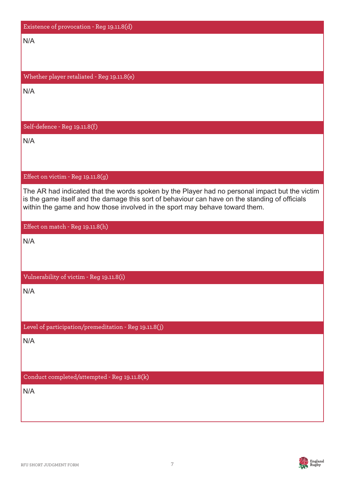| Existence of provocation - Reg 19.11.8(d)                                                                                                                                                                                                                                       |
|---------------------------------------------------------------------------------------------------------------------------------------------------------------------------------------------------------------------------------------------------------------------------------|
| N/A                                                                                                                                                                                                                                                                             |
|                                                                                                                                                                                                                                                                                 |
|                                                                                                                                                                                                                                                                                 |
| Whether player retaliated - Reg 19.11.8(e)                                                                                                                                                                                                                                      |
| N/A                                                                                                                                                                                                                                                                             |
|                                                                                                                                                                                                                                                                                 |
| Self-defence - Reg 19.11.8(f)                                                                                                                                                                                                                                                   |
| N/A                                                                                                                                                                                                                                                                             |
|                                                                                                                                                                                                                                                                                 |
|                                                                                                                                                                                                                                                                                 |
| Effect on victim - Reg 19.11.8(g)                                                                                                                                                                                                                                               |
| The AR had indicated that the words spoken by the Player had no personal impact but the victim<br>is the game itself and the damage this sort of behaviour can have on the standing of officials<br>within the game and how those involved in the sport may behave toward them. |
| Effect on match - Reg 19.11.8(h)                                                                                                                                                                                                                                                |
| N/A                                                                                                                                                                                                                                                                             |
|                                                                                                                                                                                                                                                                                 |
|                                                                                                                                                                                                                                                                                 |
| Vulnerability of victim - Reg 19.11.8(i)                                                                                                                                                                                                                                        |
| N/A                                                                                                                                                                                                                                                                             |
|                                                                                                                                                                                                                                                                                 |
| Level of participation/premeditation - Reg 19.11.8(j)                                                                                                                                                                                                                           |
| N/A                                                                                                                                                                                                                                                                             |
|                                                                                                                                                                                                                                                                                 |
|                                                                                                                                                                                                                                                                                 |
| Conduct completed/attempted - Reg 19.11.8(k)                                                                                                                                                                                                                                    |
| N/A                                                                                                                                                                                                                                                                             |
|                                                                                                                                                                                                                                                                                 |
|                                                                                                                                                                                                                                                                                 |

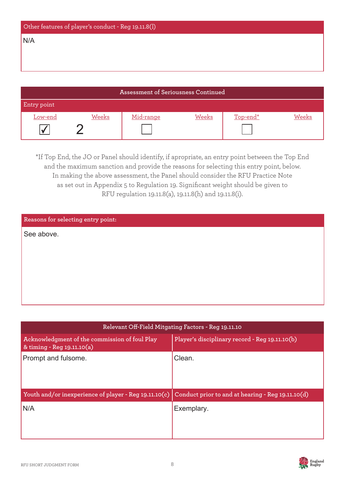| Other features of player's conduct - Reg 19.11.8(l) |  |
|-----------------------------------------------------|--|
| N/A                                                 |  |
|                                                     |  |
|                                                     |  |
|                                                     |  |

| Assessment of Seriousness Continued |       |           |              |          |       |
|-------------------------------------|-------|-----------|--------------|----------|-------|
| Entry point                         |       |           |              |          |       |
| <u>Low-end</u>                      | Weeks | Mid-range | <b>Weeks</b> | Top-end* | Weeks |
|                                     |       |           |              |          |       |

\*If Top End, the JO or Panel should identify, if apropriate, an entry point between the Top End and the maximum sanction and provide the reasons for selecting this entry point, below. In making the above assessment, the Panel should consider the RFU Practice Note as set out in Appendix 5 to Regulation 19. Significant weight should be given to RFU regulation 19.11.8(a), 19.11.8(h) and 19.11.8(i).

| Reasons for selecting entry point: |  |
|------------------------------------|--|
| See above.                         |  |
|                                    |  |
|                                    |  |
|                                    |  |
|                                    |  |
|                                    |  |

| Relevant Off-Field Mitgating Factors - Reg 19.11.10                         |                                                   |  |  |
|-----------------------------------------------------------------------------|---------------------------------------------------|--|--|
| Acknowledgment of the commission of foul Play<br>& timing - Reg 19.11.10(a) | Player's disciplinary record - Reg 19.11.10(b)    |  |  |
| Prompt and fulsome.                                                         | Clean.                                            |  |  |
| Youth and/or inexperience of player - Reg 19.11.10(c)                       | Conduct prior to and at hearing - Reg 19.11.10(d) |  |  |
| N/A                                                                         | Exemplary.                                        |  |  |

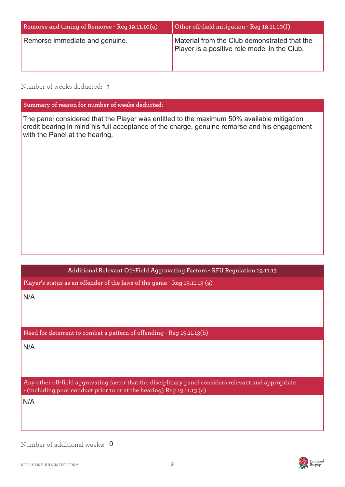| Remorse and timing of Remorse - Reg 19.11.10(e) | Other off-field mitigation - Reg 19.11.10(f)                                                 |
|-------------------------------------------------|----------------------------------------------------------------------------------------------|
| Remorse immediate and genuine.                  | Material from the Club demonstrated that the<br>Player is a positive role model in the Club. |

Number of weeks deducted: 1

**Summary of reason for number of weeks deducted:**

The panel considered that the Player was entitled to the maximum 50% available mitigation credit bearing in mind his full acceptance of the charge, genuine remorse and his engagement with the Panel at the hearing.

**Additional Relevant Off-Field Aggravating Factors - RFU Regulation 19.11.13** 

Player's status as an offender of the laws of the game - Reg 19.11.13 (a)

N/A

Need for deterrent to combat a pattern of offending - Reg 19.11.13(b)

N/A

Any other off-field aggravating factor that the disciplinary panel considers relevant and appropriate - (including poor conduct prior to or at the hearing) Reg 19.11.13 (c)

N/A

Number of additional weeks: 0